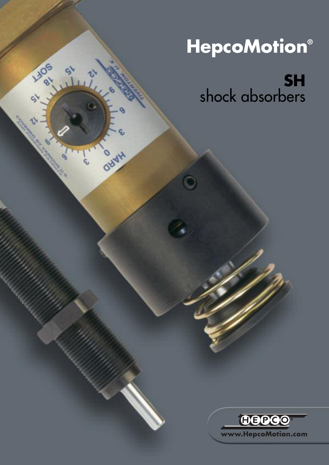# **HepcoMotion®**

1105

OBYH

**SH** shock absorbers

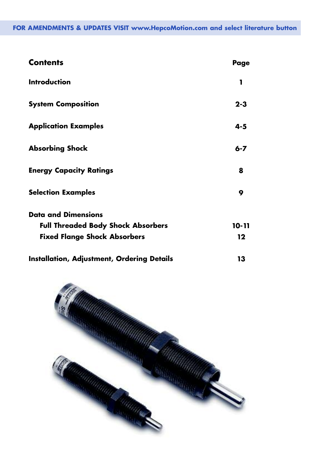#### **FOR AMENDMENTS & UPDATES VISIT www.HepcoMotion.com and select literature button**

| <b>Contents</b>                                   | Page      |
|---------------------------------------------------|-----------|
| <b>Introduction</b>                               | 1         |
| <b>System Composition</b>                         | $2 - 3$   |
| <b>Application Examples</b>                       | $4 - 5$   |
| <b>Absorbing Shock</b>                            | $6 - 7$   |
| <b>Energy Capacity Ratings</b>                    | 8         |
| <b>Selection Examples</b>                         | 9         |
| <b>Data and Dimensions</b>                        |           |
| <b>Full Threaded Body Shock Absorbers</b>         | $10 - 11$ |
| <b>Fixed Flange Shock Absorbers</b>               | $12 \,$   |
| <b>Installation, Adjustment, Ordering Details</b> | 13        |

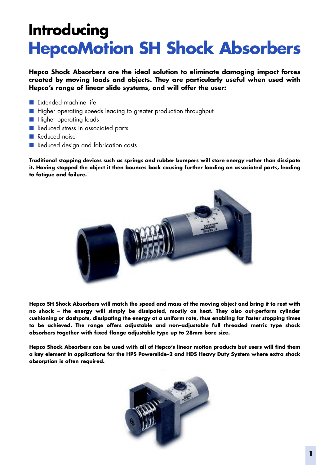# **Introducing HepcoMotion SH Shock Absorbers**

**Hepco Shock Absorbers are the ideal solution to eliminate damaging impact forces created by moving loads and objects. They are particularly useful when used with Hepco's range of linear slide systems, and will offer the user:**

- Extended machine life
- Higher operating speeds leading to greater production throughput
- Higher operating loads
- Reduced stress in associated parts
- Reduced noise
- Reduced design and fabrication costs

**Traditional stopping devices such as springs and rubber bumpers will store energy rather than dissipate it. Having stopped the object it then bounces back causing further loading on associated parts, leading to fatigue and failure.**



Hepco SH Shock Absorbers will match the speed and mass of the moving object and bring it to rest with **no shock – the energy will simply be dissipated, mostly as heat. They also out-perform cylinder cushioning or dashpots, dissipating the energy at a uniform rate, thus enabling far faster stopping times to be achieved. The range offers adjustable and non–adjustable full threaded metric type shock absorbers together with fixed flange adjustable type up to 28mm bore size.**

Hepco Shock Absorbers can be used with all of Hepco's linear motion products but users will find them **a key element in applications for the HPS Powerslide–2 and HDS Heavy Duty System where extra shock absorption is often required.**

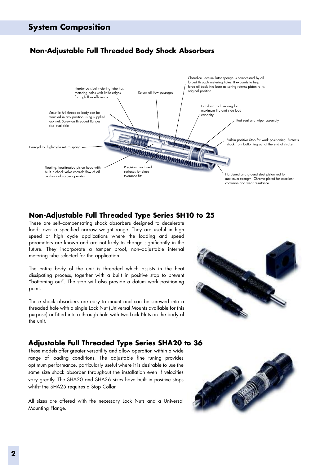#### **System Composition**

#### **Non-Adjustable Full Threaded Body Shock Absorbers**



#### **Non-Adjustable Full Threaded Type Series SH10 to 25**

These are self–compensating shock absorbers designed to decelerate loads over a specified narrow weight range. They are useful in high speed or high cycle applications where the loading and speed parameters are known and are not likely to change significantly in the future. They incorporate a tamper proof, non–adjustable internal metering tube selected for the application.

The entire body of the unit is threaded which assists in the heat dissipating process, together with a built in positive stop to prevent "bottoming out". The stop will also provide a datum work positioning point.

These shock absorbers are easy to mount and can be screwed into a threaded hole with a single Lock Nut (Universal Mounts available for this purpose) or fitted into a through hole with two Lock Nuts on the body of the unit.



#### **Adjustable Full Threaded Type Series SHA20 to 36**

These models offer greater versatility and allow operation within a wide range of loading conditions. The adjustable fine tuning provides optimum performance, particularly useful where it is desirable to use the same size shock absorber throughout the installation even if velocities vary greatly. The SHA20 and SHA36 sizes have built in positive stops whilst the SHA25 requires a Stop Collar.

All sizes are offered with the necessary Lock Nuts and a Universal Mounting Flange.

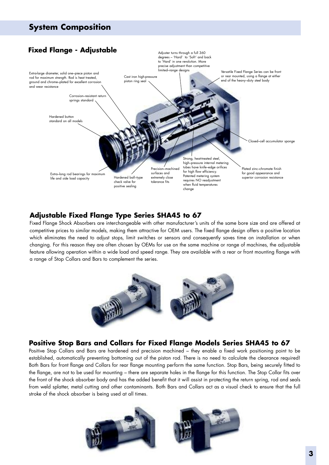## **System Composition**



#### **Adjustable Fixed Flange Type Series SHA45 to 67**

Fixed Flange Shock Absorbers are interchangeable with other manufacturer's units of the same bore size and are offered at competitive prices to similar models, making them attractive for OEM users. The fixed flange design offers a positive location which eliminates the need to adjust stops, limit switches or sensors and consequently saves time on installation or when changing. For this reason they are often chosen by OEMs for use on the same machine or range of machines, the adjustable feature allowing operation within a wide load and speed range. They are available with a rear or front mounting flange with a range of Stop Collars and Bars to complement the series.



#### **Positive Stop Bars and Collars for Fixed Flange Models Series SHA45 to 67**

Positive Stop Collars and Bars are hardened and precision machined – they enable a fixed work positioning point to be established, automatically preventing bottoming out of the piston rod. There is no need to calculate the clearance required! Both Bars for front flange and Collars for rear flange mounting perform the same function. Stop Bars, being securely fitted to the flange, are not to be used for mounting – there are separate holes in the flange for this function. The Stop Collar fits over the front of the shock absorber body and has the added benefit that it will assist in protecting the return spring, rod and seals from weld splatter, metal cutting and other contaminants. Both Bars and Collars act as a visual check to ensure that the full stroke of the shock absorber is being used at all times.

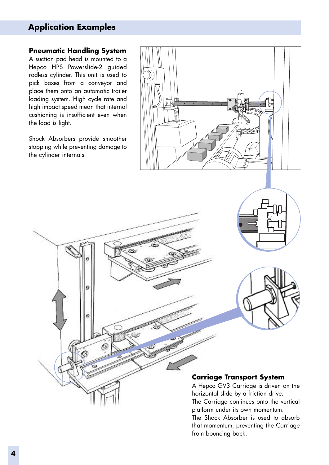### **Application Examples**

#### **Pneumatic Handling System**

A suction pad head is mounted to a Hepco HPS Powerslide-2 guided rodless cylinder. This unit is used to pick boxes from a conveyor and place them onto an automatic trailer loading system. High cycle rate and high impact speed mean that internal cushioning is insufficient even when the load is light.

Shock Absorbers provide smoother stopping while preventing damage to the cylinder internals.

 $\theta$ 







#### **Carriage Transport System**

A Hepco GV3 Carriage is driven on the horizontal slide by a friction drive. The Carriage continues onto the vertical platform under its own momentum.

The Shock Absorber is used to absorb that momentum, preventing the Carriage from bouncing back.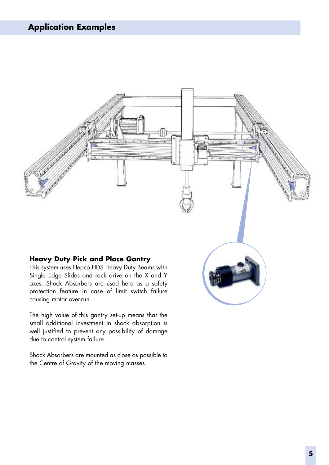

The high value of this gantry set-up means that the small additional investment in shock absorption is well justified to prevent any possibility of damage due to control system failure.

Shock Absorbers are mounted as close as possible to the Centre of Gravity of the moving masses.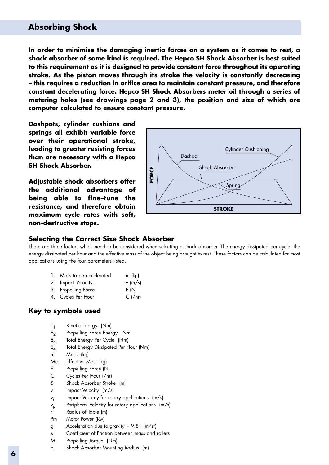#### **Absorbing Shock**

**In order to minimise the damaging inertia forces on a system as it comes to rest, a shock absorber of some kind is required. The Hepco SH Shock Absorber is best suited to this requirement as it is designed to provide constant force throughout its operating stroke. As the piston moves through its stroke the velocity is constantly decreasing – this requires a reduction in orifice area to maintain constant pressure, and therefore constant decelerating force. Hepco SH Shock Absorbers meter oil through a series of metering holes (see drawings page 2 and 3), the position and size of which are computer calculated to ensure constant pressure.**

**Dashpots, cylinder cushions and springs all exhibit variable force over their operational stroke, leading to greater resisting forces than are necessary with a Hepco SH Shock Absorber.**

**Adjustable shock absorbers offer the additional advantage of being able to fine–tune the resistance, and therefore obtain maximum cycle rates with soft, non-destructive stops.**



#### **Selecting the Correct Size Shock Absorber**

There are three factors which need to be considered when selecting a shock absorber. The energy dissipated per cycle, the energy dissipated per hour and the effective mass of the object being brought to rest. These factors can be calculated for most applications using the four parameters listed.

| 1. Mass to be decelerated | m (kg)    |
|---------------------------|-----------|
| 2. Impact Velocity        | $v$ (m/s) |
| 3. Propelling Force       | F(N)      |
| 4. Cycles Per Hour        | $C$ (/hr) |

#### **Key to symbols used**

- E1 Kinetic Energy (Nm)
- $E_2$  Propelling Force Energy (Nm)
- E3 Total Energy Per Cycle (Nm)
- E4 Total Energy Dissipated Per Hour (Nm)
- m Mass (kg)
- Me Effective Mass (kg)
- F Propelling Force (N)
- C Cycles Per Hour (/hr)
- S Shock Absorber Stroke (m)
- v Impact Velocity (m/s)
- $v_i$  Impact Velocity for rotary applications  $(m/s)$
- $v_p$  Peripheral Velocity for rotary applications (m/s)
- r Radius of Table (m)
- Pm Motor Power (Kw)
- g Acceleration due to gravity = 9.81 (m/s2)
- *µ* Coefficient of Friction between mass and rollers
- M Propelling Torque (Nm)
- b Shock Absorber Mounting Radius (m)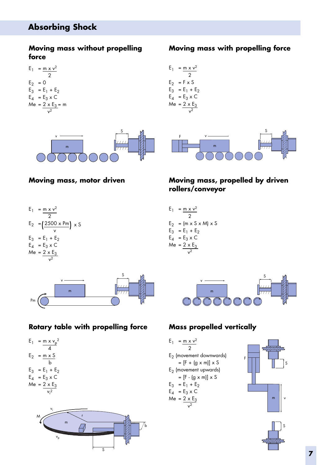### **Absorbing Shock**

 $E_1 = m \times v^2$ 2

 $E_2 = 0$  $E_3 = E_1 + E_2$  $E_4$  =  $E_3$  x C Me = <u>2 x E<sub>3</sub> = m</u>  $v^2$ 

#### **Moving mass without propelling force**

#### **Moving mass with propelling force**









#### **Rotary table with propelling force Mass propelled vertically**







#### **Moving mass, motor driven Moving mass, propelled by driven rollers/conveyor**

 $E_1 = m \times v^2$ 2  $E_2 = (m \times S \times M) \times S$  $E_3 = E_1 + E_2$  $E_4$  =  $E_3 \times C$  $Me = 2 \times E_3$  $\overline{v^2}$ 



F

 $E_1 = m \times v^2$ 2 E2 (movement downwards)

 $= [F + (g \times m)] \times S$ 

E2 (movement upwards)

 $=$  [F - (g x m)]  $\times$  S

 $E_3 = E_1 + E_2$ 

$$
E_4 = E_3 \times C
$$

$$
Me = \frac{2 \times E_3}{v^2}
$$



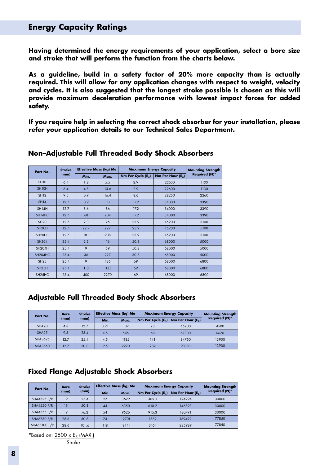#### **Energy Capacity Ratings**

**Having determined the energy requirements of your application, select a bore size and stroke that will perform the function from the charts below.**

**As a guideline, build in a safety factor of 20% more capacity than is actually required. This will allow for any application changes with respect to weight, velocity and cycles. It is also suggested that the longest stroke possible is chosen as this will provide maximum deceleration performance with lowest impact forces for added safety.**

**If you require help in selecting the correct shock absorber for your installation, please refer your application details to our Technical Sales Department.**

| Part No.                        | <b>Stroke</b> |      | <b>Effective Mass (kg) Me</b> | <b>Maximum Energy Capacity</b> |                     | <b>Mounting Strength</b> |
|---------------------------------|---------------|------|-------------------------------|--------------------------------|---------------------|--------------------------|
|                                 | (mm)          | Min. | Max.                          | Nm Per Cycle $(E_3)$           | Nm Per Hour $(E_A)$ | <b>Required (N)*</b>     |
| <b>SH10</b>                     | 6.4           | 1.8  | 5.5                           | 2.9                            | 22600               | 1130                     |
| SH <sub>10</sub> H              | 6.4           | 4.5  | 13.6                          | 2.9                            | 22600               | 1130                     |
| <b>SH12</b>                     | 9.5           | 0.9  | 16.4                          | 8.6                            | 28250               | 2260                     |
| <b>SH14</b>                     | 12.7          | 0.9  | 10                            | 17.2                           | 34000               | 3390                     |
| SH14H                           | 12.7          | 8.6  | 86                            | 17.2                           | 34000               | 3390                     |
| SH14HC                          | 12.7          | 68   | 204                           | 17.2                           | 34000               | 3390                     |
| <b>SH20</b>                     | 12.7          | 2.3  | 25                            | 25.9                           | 45200               | 5100                     |
| SH <sub>20</sub> H              | 12.7          | 22.7 | 227                           | 25.9                           | 45200               | 5100                     |
| SH <sub>20</sub> H <sub>C</sub> | 12.7          | 181  | 908                           | 25.9                           | 45200               | 5100                     |
| <b>SH204</b>                    | 25.4          | 2.3  | 16                            | 50.8                           | 68000               | 5000                     |
| <b>SH204H</b>                   | 25.4          | 9    | 59                            | 50.8                           | 68000               | 5000                     |
| SH <sub>204</sub> HC            | 25.4          | 36   | 227                           | 50.8                           | 68000               | 5000                     |
| SH25                            | 25.4          | 9    | 136                           | 69                             | 68000               | 6800                     |
| SH <sub>25</sub> H              | 25.4          | 113  | 1135                          | 69                             | 68000               | 6800                     |
| SH <sub>25</sub> HC             | 25.4          | 400  | 2270                          | 69                             | 68000               | 6800                     |

#### **Non–Adjustable Full Threaded Body Shock Absorbers**

#### **Adjustable Full Threaded Body Shock Absorbers**

| Part No.          | <b>Bore</b> | <b>Effective Mass (kg) Me</b><br><b>Stroke</b> |              |      | <b>Maximum Energy Capacity</b> |                     | <b>Mounting Strength</b> |  |
|-------------------|-------------|------------------------------------------------|--------------|------|--------------------------------|---------------------|--------------------------|--|
|                   | (mm)        | (mm)                                           | Min.<br>Max. |      | Nm Per Cycle $(E_3)$           | Nm Per Hour $(E_A)$ | <b>Required (N)*</b>     |  |
| SHA <sub>20</sub> | 4.8         | 12.7                                           | 0.91         | 109  | 23                             | 45200               | 4500                     |  |
| SHA <sub>25</sub> | 9.5         | 25.4                                           | 4.5          | 545  | 68                             | 67800               | 6670                     |  |
| SHA3625           | 12.7        | 25.4                                           | 4.5          | 1135 | 141                            | 84750               | 13900                    |  |
| SHA3650           | 12.7        | 50.8                                           | 9.5          | 2270 | 282                            | 98310               | 13900                    |  |

#### **Fixed Flange Adjustable Shock Absorbers**

| Part No.           | <b>Bore</b> | <b>Stroke</b> |      | <b>Effective Mass (kg) Me</b> | <b>Maximum Energy Capacity</b> |                     | <b>Mounting Strength</b> |
|--------------------|-------------|---------------|------|-------------------------------|--------------------------------|---------------------|--------------------------|
|                    | (mm)        | (mm)          | Min. | Max.                          | Nm Per Cycle $(E_3)$           | Nm Per Hour $(E_4)$ | <b>Required (N)*</b>     |
| <b>SHA4525 F/R</b> | 19          | 25.4          | 27   | 3629                          | 305.1                          | 124294              | 30000                    |
| <b>SHA4550 F/R</b> | 19          | 50.8          | 43   | 6350                          | 610.2                          | 146893              | 30000                    |
| <b>SHA4575 F/R</b> | 19          | 76.2          | 54   | 9526                          | 915.3                          | 180791              | 30000                    |
| <b>SHA6750 F/R</b> | 28.6        | 50.8          | 73   | 12701                         | 1582                           | 169492              | 77850                    |
| SHA67100 F/R       | 28.6        | 101.6         | 118  | 18144                         | 3164                           | 225989              | 77850                    |

\*Based on:  $2500 \times E_3$  (MAX.)

Stroke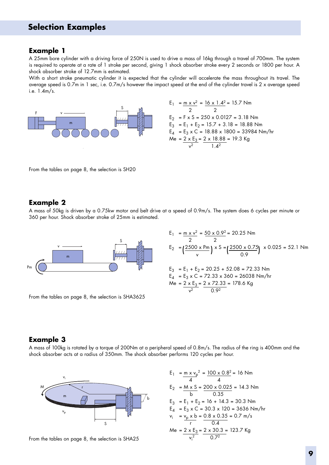#### **Example 1**

A 25mm bore cylinder with a driving force of 250N is used to drive a mass of 16kg through a travel of 700mm. The system is required to operate at a rate of 1 stroke per second, giving 1 shock absorber stroke every 2 seconds or 1800 per hour. A shock absorber stroke of 12.7mm is estimated.

With a short stroke pneumatic cylinder it is expected that the cylinder will accelerate the mass throughout its travel. The average speed is 0.7m in 1 sec, i.e. 0.7m/s however the impact speed at the end of the cylinder travel is 2 x average speed i.e. 1.4m/s.



$$
E_1 = \frac{m \times v^2}{2} = \frac{16 \times 1.4^2}{2} = 15.7 \text{ Nm}
$$
  
\n
$$
E_2 = F \times S = 250 \times 0.0127 = 3.18 \text{ Nm}
$$
  
\n
$$
E_3 = E_1 + E_2 = 15.7 + 3.18 = 18.88 \text{ Nm}
$$
  
\n
$$
E_4 = E_3 \times C = 18.88 \times 1800 = 33984 \text{ Nm/hr}
$$
  
\n
$$
Me = \frac{2 \times E_3}{v^2} = \frac{2 \times 18.88}{1.4^2} = 19.3 \text{ kg}
$$

From the tables on page 8, the selection is SH20

#### **Example 2**

A mass of 50kg is driven by a 0.75kw motor and belt drive at a speed of 0.9m/s. The system does 6 cycles per minute or 360 per hour. Shock absorber stroke of 25mm is estimated.



From the tables on page 8, the selection is SHA3625

$$
E_1 = \frac{m \times v^2}{2} = \frac{50 \times 0.9^2}{2} = 20.25 \text{ Nm}
$$
  
\n
$$
E_2 = \left(\frac{2500 \times \text{Pm}}{v}\right) \times S = \left(\frac{2500 \times 0.75}{0.9}\right) \times 0.025 = 52.1 \text{ Nm}
$$
  
\n
$$
E_3 = E_1 + E_2 = 20.25 + 52.08 = 72.33 \text{ Nm}
$$
  
\n
$$
E_4 = E_3 \times C = 72.33 \times 360 = 26038 \text{ Nm/hr}
$$
  
\n
$$
Me = 2 \times E_3 = 2 \times 72.33 = 178.6 \text{ kg}
$$

#### **Example 3**

A mass of 100kg is rotated by a torque of 200Nm at a peripheral speed of 0.8m/s. The radius of the ring is 400mm and the shock absorber acts at a radius of 350mm. The shock absorber performs 120 cycles per hour.





 $E_1$  = m x  $v_p^2$  =  $\frac{100 \times 0.8^2}{2}$  = 16 Nm 4 4  $E_2$  = <u>M x S</u> = 200 x 0.025 = 14.3 Nm b 0.35  $E_3$  =  $E_1$  +  $E_2$  = 16 + 14.3 = 30.3 Nm  $E_4$  =  $E_3$  x C = 30.3 x 120 = 3636 Nm/hr  $v_i$  =  $v_p$  x b = 0.8 x 0.35 = 0.7 m/s r 0.4 Me = 2 x E<sub>3</sub> = 2 x 30.3 = 123.7 Kg  $v_i^2$  0.7<sup>2</sup>

 $\sqrt{2}$  0.92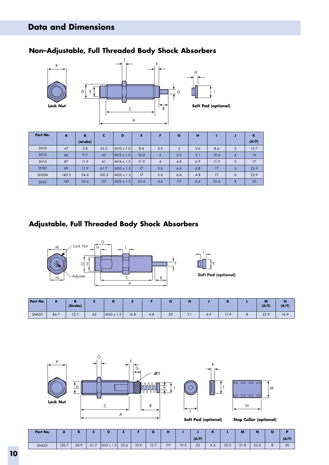### **Non–Adjustable, Full Threaded Body Shock Absorbers**



| Part No.     | A     | B        | c     | D                |      |                | G   | н   |      |                | K     |
|--------------|-------|----------|-------|------------------|------|----------------|-----|-----|------|----------------|-------|
|              |       | (stroke) |       |                  |      |                |     |     |      |                | (A/F) |
| <b>SH10</b>  | 47    | 5.8      | 33.5  | $M10 \times 1.0$ | 8.4  | 3.3            | 3   | 3.6 | 8.4  | 3              | 12.7  |
| <b>SH12</b>  | 66    | 9.7      | 45    | $M12 \times 1.0$ | 10.4 | 5              | 3.3 | 3.1 | 10.4 | $\overline{4}$ | 16    |
| <b>SH14</b>  | 87    | 11.9     | 61    | $M14 \times 1.5$ | 11.9 | $\overline{4}$ | 4.8 | 6.9 | 11.9 | 5              | 17    |
| <b>SH20</b>  | 89    | 11.9     | 61.7  | $M20 \times 1.5$ | 17   | 5.6            | 6.4 | 4.8 | 17   | 6              | 23.9  |
| <b>SH204</b> | 140.5 | 24.6     | 100.3 | $M20 \times 1.5$ | 17   | 5.6            | 6.4 | 4.8 | 17   | 6              | 23.9  |
| <b>SH25</b>  | 149   | 24.6     | 107   | $M25 \times 1.5$ | 22.4 | 4.6            | 7.9 | 6.4 | 22.4 | 8              | 30    |

### **Adjustable, Full Threaded Body Shock Absorbers**



| Part No. | $\overline{\phantom{a}}$ | (Stroke) |    |           |      |     |    | ш                               |     | <b>DO</b><br> | 84<br>M<br>(A/F) | N<br>(A/F) |
|----------|--------------------------|----------|----|-----------|------|-----|----|---------------------------------|-----|---------------|------------------|------------|
| SHA20    | 86.7                     | 12.7     | 62 | M20 x 1.5 | 16.8 | 4.8 | 20 | - -<br>$\overline{\phantom{a}}$ | 6.9 | 11.9          | 22.9             | 16.9       |







**Soft Pad (optional) Stop Collar (optional)**

| Part No. | $\overline{\phantom{a}}$ | D    |      |                  |      |      | G    | <b>A</b><br>ш |      |       | n.<br>n |      | $\mathsf{M}$ | $\mathbf N$ | О |       |
|----------|--------------------------|------|------|------------------|------|------|------|---------------|------|-------|---------|------|--------------|-------------|---|-------|
|          |                          |      |      |                  |      |      |      |               |      | (A/F) |         |      |              |             |   | (A/F) |
| SHA25    | 120.7                    | 34.9 | 61.7 | $M25 \times 1.5$ | 22.6 | 10.9 | 12.7 | 7.9           | 19.5 | 22    | 6.4     | 22.2 | 31.8         | 55.6        | 8 | 30    |

Г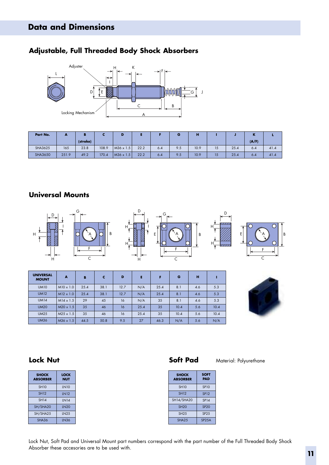#### **Adjustable, Full Threaded Body Shock Absorbers**



| Part No.       | ,,,,, | в        |       | D                |      |     | G   | п    |    |      | в.    |      |
|----------------|-------|----------|-------|------------------|------|-----|-----|------|----|------|-------|------|
|                |       | (stroke) |       |                  |      |     |     |      |    |      | (A/F) |      |
| SHA3625        | 165   | 23.8     | 108.9 | $M36 \times 1.5$ | 22.2 | 6.4 | 9.5 | 10.9 | 15 | 25.4 | 6.4   | 41.4 |
| <b>SHA3650</b> | 251.9 | 49.2     | 170.4 | $M36 \times 1.5$ | 22.2 | 6.4 | 9.5 | 10.9 | 15 | 25.4 | 6.4   | 41.4 |

#### **Universal Mounts**



| <b>UNIVERSAL</b><br><b>MOUNT</b> | A                | B    | c    | D    | E    | F    | G    | н   |      |
|----------------------------------|------------------|------|------|------|------|------|------|-----|------|
| <b>UM10</b>                      | $M10 \times 1.0$ | 25.4 | 38.1 | 12.7 | N/A  | 25.4 | 8.1  | 4.6 | 5.3  |
| <b>UM12</b>                      | $M12 \times 1.0$ | 25.4 | 38.1 | 12.7 | N/A  | 25.4 | 8.1  | 4.6 | 5.3  |
| <b>UM14</b>                      | $M14 \times 1.5$ | 29   | 45   | 16   | N/A  | 35   | 8.1  | 4.6 | 5.3  |
| <b>UM20</b>                      | $M20 \times 1.5$ | 35   | 46   | 16   | 25.4 | 35   | 10.4 | 5.6 | 10.4 |
| <b>UM25</b>                      | $M25 \times 1.5$ | 35   | 46   | 16   | 25.4 | 35   | 10.4 | 5.6 | 10.4 |
| <b>UM36</b>                      | $M36 \times 1.5$ | 44.5 | 50.8 | 9.5  | 27   | 46.3 | N/A  | 5.6 | N/A  |



| <b>SHOCK</b><br><b>ABSORBER</b> | LOCK<br>NUT |
|---------------------------------|-------------|
| <b>SH10</b>                     | <b>LN10</b> |
| <b>SH12</b>                     | <b>LN12</b> |
| <b>SH14</b>                     | <b>LN14</b> |
| SH/SHA20                        | <b>LN20</b> |
| SH/SHA25                        | <b>LN25</b> |
| SHA36                           | LN36        |

**Lock Nut Soft Pad** Material: Polyurethane

ī

| <b>SHOCK</b><br><b>ABSORBER</b> | <b>SOFT</b><br>PAD |
|---------------------------------|--------------------|
| <b>SH10</b>                     | <b>SP10</b>        |
| <b>SH12</b>                     | <b>SP12</b>        |
| SH14/SHA20                      | <b>SP14</b>        |
| <b>SH20</b>                     | <b>SP20</b>        |
| SH25                            | SP <sub>25</sub>   |
| SHA <sub>25</sub>               | SP <sub>25</sub> A |

Lock Nut, Soft Pad and Universal Mount part numbers correspond with the part number of the Full Threaded Body Shock Absorber these accesories are to be used with.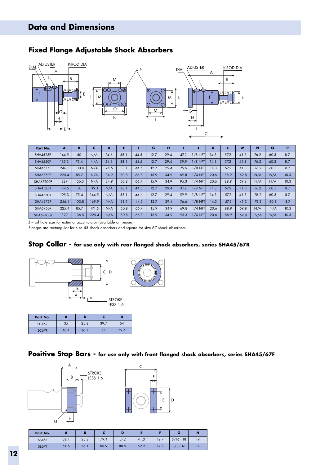

#### **Fixed Flange Adjustable Shock Absorbers**

| Part No.         | A     | в     | c     | D    |      |      | G    | н    |      |           | K    |      | M    | N    | $\circ$ | P    |
|------------------|-------|-------|-------|------|------|------|------|------|------|-----------|------|------|------|------|---------|------|
| <b>SHA4525F</b>  | 144.5 | 50    | N/A   | 24.6 | 38.1 | 44.5 | 12.7 | 29.4 | 47.2 | $1/8$ NPT | 14.3 | 57.2 | 41.3 | 76.2 | 60.3    | 8.7  |
| <b>SHA4550F</b>  | 195.3 | 75.4  | N/A   | 24.6 | 38.1 | 44.5 | 12.7 | 29.4 | 59.9 | $1/8$ NPT | 14.3 | 57.2 | 41.3 | 76.2 | 60.3    | 8.7  |
| <b>SHA4575F</b>  | 246.1 | 100.8 | N/A   | 24.6 | 38.1 | 44.5 | 12.7 | 29.4 | 76.6 | $1/8$ NPT | 14.3 | 57.2 | 41.3 | 76.2 | 60.3    | 8.7  |
| <b>SHA6750F</b>  | 225.4 | 85.7  | N/A   | 34.9 | 50.8 | 66.7 | 15.9 | 34.9 | 69.8 | $1/4$ NPT | 20.6 | 88.9 | 69.8 | N/A  | N/A     | 10.3 |
| SHA67100F        | 327   | 136.5 | N/A   | 34.9 | 50.8 | 66.7 | 15.9 | 34.9 | 95.3 | $1/4$ NPT | 20.6 | 88.9 | 69.8 | N/A  | N/A     | 10.3 |
| <b>SHA4525R</b>  | 144.5 | 50    | 119.1 | N/A  | 38.1 | 44.5 | 12.7 | 29.4 | 47.2 | $1/8$ NPT | 14.3 | 57.2 | 41.3 | 76.2 | 60.3    | 8.7  |
| <b>SHA4550R</b>  | 195.3 | 75.4  | 144.5 | N/A  | 38.1 | 44.5 | 12.7 | 29.4 | 59.9 | $1/8$ NPT | 14.3 | 57.2 | 41.3 | 76.2 | 60.3    | 8.7  |
| <b>SHA4575R</b>  | 246.1 | 100.8 | 169.9 | N/A  | 38.1 | 44.5 | 12.7 | 29.4 | 76.6 | 1/8 NPT   | 14.3 | 57.2 | 41.3 | 76.2 | 60.3    | 8.7  |
| SHA6750R         | 225.4 | 85.7  | 174.6 | N/A  | 50.8 | 66.7 | 15.9 | 34.9 | 69.8 | $1/4$ NPT | 20.6 | 88.9 | 69.8 | N/A  | N/A     | 10.3 |
| <b>SHA67100R</b> | 327   | 136.5 | 225.4 | N/A  | 50.8 | 66.7 | 15.9 | 34.9 | 95.3 | 1/4 NPT   | 20.6 | 88.9 | 69.8 | N/A  | N/A     | 10.3 |

J = oil hole size for external accumulator (available on request)

Flanges are rectangular for size 45 shock absorbers and square for size 67 shock absorbers.

#### **Stop Collar - for use only with rear flanged shock absorbers, series SHA45/67R**



| Part No. | . .  | в    |      |      |  |
|----------|------|------|------|------|--|
| SC45R    | 35   | 25.8 | 39.7 | 54   |  |
| SC67R    | 48.4 | 36.1 | 54   | 79.4 |  |



**Positive Stop Bars - for use only with front flanged shock absorbers, series SHA45/67F**



| Part No. | . .  |      |      |      |      |      | œ           | п  |
|----------|------|------|------|------|------|------|-------------|----|
| SB45F    | 38.1 | 25.8 | 79.4 | 57.2 | 41.3 | 12.7 | $5/16 - 18$ | 19 |
| SB67F    | 51.6 | 36.1 | 88.9 | 88.9 | 69.9 | 12.7 | $3/8 - 16$  |    |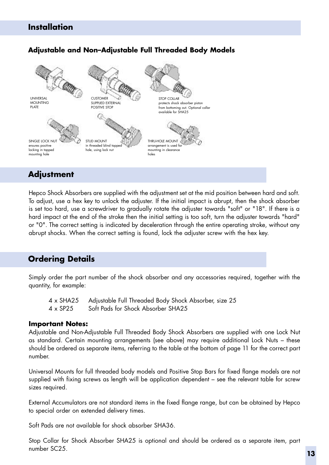#### **Installation**

#### **Adjustable and Non–Adjustable Full Threaded Body Models**



### **Adjustment**

Hepco Shock Absorbers are supplied with the adjustment set at the mid position between hard and soft. To adjust, use a hex key to unlock the adjuster. If the initial impact is abrupt, then the shock absorber is set too hard, use a screwdriver to gradually rotate the adjuster towards "soft" or "18". If there is a hard impact at the end of the stroke then the initial setting is too soft, turn the adjuster towards "hard" or "0". The correct setting is indicated by deceleration through the entire operating stroke, without any abrupt shocks. When the correct setting is found, lock the adjuster screw with the hex key.

#### **Ordering Details**

Simply order the part number of the shock absorber and any accessories required, together with the quantity, for example:

- 4 x SHA25 Adjustable Full Threaded Body Shock Absorber, size 25
- 4 x SP25 Soft Pads for Shock Absorber SHA25

#### **Important Notes:**

Adjustable and Non-Adjustable Full Threaded Body Shock Absorbers are supplied with one Lock Nut as standard. Certain mounting arrangements (see above) may require additional Lock Nuts – these should be ordered as separate items, referring to the table at the bottom of page 11 for the correct part number.

Universal Mounts for full threaded body models and Positive Stop Bars for fixed flange models are not supplied with fixing screws as length will be application dependent – see the relevant table for screw sizes required.

External Accumulators are not standard items in the fixed flange range, but can be obtained by Hepco to special order on extended delivery times.

Soft Pads are not available for shock absorber SHA36.

Stop Collar for Shock Absorber SHA25 is optional and should be ordered as a separate item, part number SC25.